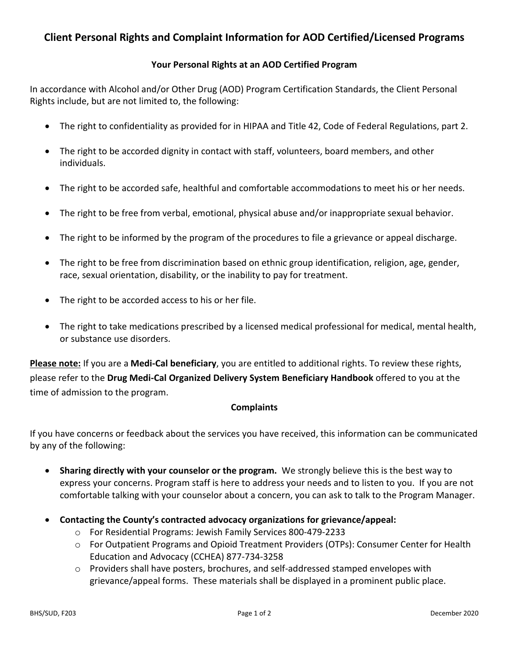## **Client Personal Rights and Complaint Information for AOD Certified/Licensed Programs**

## **Your Personal Rights at an AOD Certified Program**

In accordance with Alcohol and/or Other Drug (AOD) Program Certification Standards, the Client Personal Rights include, but are not limited to, the following:

- The right to confidentiality as provided for in HIPAA and Title 42, Code of Federal Regulations, part 2.
- The right to be accorded dignity in contact with staff, volunteers, board members, and other individuals.
- The right to be accorded safe, healthful and comfortable accommodations to meet his or her needs.
- The right to be free from verbal, emotional, physical abuse and/or inappropriate sexual behavior.
- The right to be informed by the program of the procedures to file a grievance or appeal discharge.
- The right to be free from discrimination based on ethnic group identification, religion, age, gender, race, sexual orientation, disability, or the inability to pay for treatment.
- The right to be accorded access to his or her file.
- The right to take medications prescribed by a licensed medical professional for medical, mental health, or substance use disorders.

**Please note:** If you are a **Medi-Cal beneficiary**, you are entitled to additional rights. To review these rights, please refer to the **Drug Medi-Cal Organized Delivery System Beneficiary Handbook** offered to you at the time of admission to the program.

## **Complaints**

If you have concerns or feedback about the services you have received, this information can be communicated by any of the following:

- **Sharing directly with your counselor or the program.** We strongly believe this is the best way to express your concerns. Program staff is here to address your needs and to listen to you. If you are not comfortable talking with your counselor about a concern, you can ask to talk to the Program Manager.
- **Contacting the County's contracted advocacy organizations for grievance/appeal:**
	- o For Residential Programs: Jewish Family Services 800-479-2233
	- o For Outpatient Programs and Opioid Treatment Providers (OTPs): Consumer Center for Health Education and Advocacy (CCHEA) 877-734-3258
	- $\circ$  Providers shall have posters, brochures, and self-addressed stamped envelopes with grievance/appeal forms. These materials shall be displayed in a prominent public place.